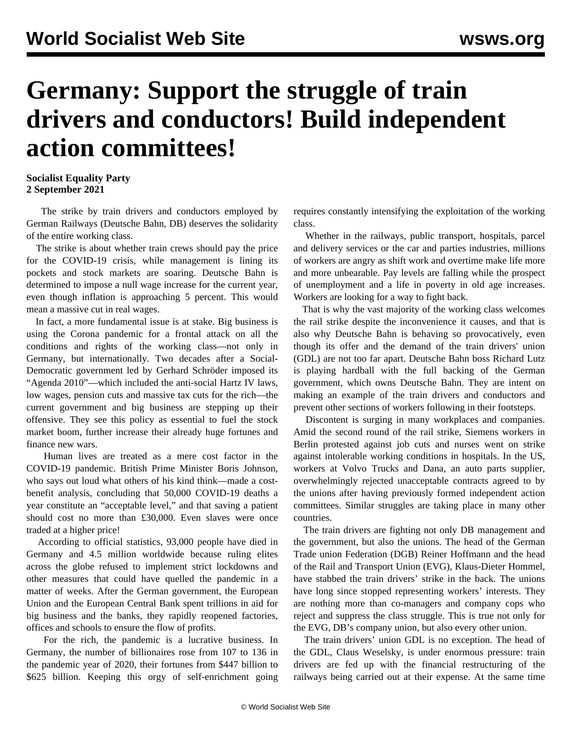## **Germany: Support the struggle of train drivers and conductors! Build independent action committees!**

## **Socialist Equality Party 2 September 2021**

 The strike by train drivers and conductors employed by German Railways (Deutsche Bahn, DB) deserves the solidarity of the entire working class.

 The strike is about whether train crews should pay the price for the COVID-19 crisis, while management is lining its pockets and stock markets are soaring. Deutsche Bahn is determined to impose a null wage increase for the current year, even though inflation is approaching 5 percent. This would mean a massive cut in real wages.

 In fact, a more fundamental issue is at stake. Big business is using the Corona pandemic for a frontal attack on all the conditions and rights of the working class—not only in Germany, but internationally. Two decades after a Social-Democratic government led by Gerhard Schröder imposed its "Agenda 2010"—which included the anti-social Hartz IV laws, low wages, pension cuts and massive tax cuts for the rich—the current government and big business are stepping up their offensive. They see this policy as essential to fuel the stock market boom, further increase their already huge fortunes and finance new wars.

 Human lives are treated as a mere cost factor in the COVID-19 pandemic. British Prime Minister Boris Johnson, who says out loud what others of his kind think—made a costbenefit analysis, concluding that 50,000 COVID-19 deaths a year constitute an "acceptable level," and that saving a patient should cost no more than £30,000. Even slaves were once traded at a higher price!

 According to official statistics, 93,000 people have died in Germany and 4.5 million worldwide because ruling elites across the globe refused to implement strict lockdowns and other measures that could have quelled the pandemic in a matter of weeks. After the German government, the European Union and the European Central Bank spent trillions in aid for big business and the banks, they rapidly reopened factories, offices and schools to ensure the flow of profits.

 For the rich, the pandemic is a lucrative business. In Germany, the number of billionaires rose from 107 to 136 in the pandemic year of 2020, their fortunes from \$447 billion to \$625 billion. Keeping this orgy of self-enrichment going requires constantly intensifying the exploitation of the working class.

 Whether in the railways, public transport, hospitals, parcel and delivery services or the car and parties industries, millions of workers are angry as shift work and overtime make life more and more unbearable. Pay levels are falling while the prospect of unemployment and a life in poverty in old age increases. Workers are looking for a way to fight back.

 That is why the vast majority of the working class welcomes the rail strike despite the inconvenience it causes, and that is also why Deutsche Bahn is behaving so provocatively, even though its offer and the demand of the train drivers' union (GDL) are not too far apart. Deutsche Bahn boss Richard Lutz is playing hardball with the full backing of the German government, which owns Deutsche Bahn. They are intent on making an example of the train drivers and conductors and prevent other sections of workers following in their footsteps.

 Discontent is surging in many workplaces and companies. Amid the second round of the rail strike, Siemens workers in Berlin protested against job cuts and nurses went on strike against intolerable working conditions in hospitals. In the US, workers at Volvo Trucks and Dana, an auto parts supplier, overwhelmingly rejected unacceptable contracts agreed to by the unions after having previously formed independent action committees. Similar struggles are taking place in many other countries.

 The train drivers are fighting not only DB management and the government, but also the unions. The head of the German Trade union Federation (DGB) Reiner Hoffmann and the head of the Rail and Transport Union (EVG), Klaus-Dieter Hommel, have stabbed the train drivers' strike in the back. The unions have long since stopped representing workers' interests. They are nothing more than co-managers and company cops who reject and suppress the class struggle. This is true not only for the EVG, DB's company union, but also every other union.

 The train drivers' union GDL is no exception. The head of the GDL, Claus Weselsky, is under enormous pressure: train drivers are fed up with the financial restructuring of the railways being carried out at their expense. At the same time